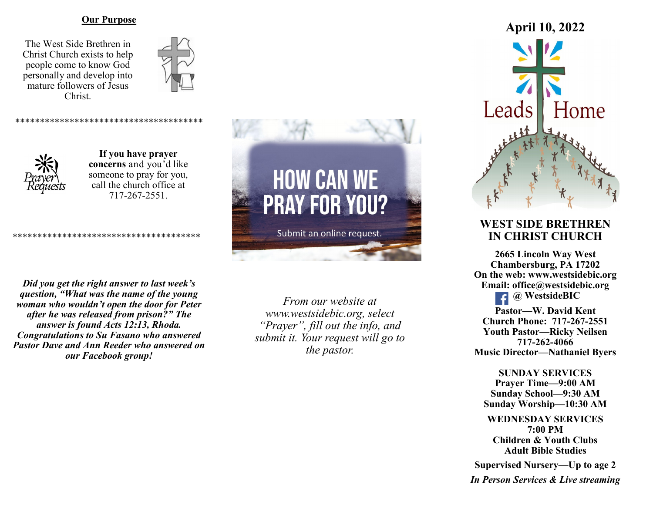#### **Our Purpose**

The West Side Brethren in Christ Church exists to help people come to know God personally and develop into mature followers of Jesus Christ.





**If you have prayer concerns** and you'd like someone to pray for you, call the church office at 717-267-2551.

\*\*\*\*\*\*\*\*\*\*\*\*\*\*\*\*\*\*\*\*\*\*\*\*\*\*\*\*\*\*\*\*\*\*\*\*\*\*

*Did you get the right answer to last week's question, "What was the name of the young woman who wouldn't open the door for Peter after he was released from prison?" The answer is found Acts 12:13, Rhoda. Congratulations to Su Fasano who answered Pastor Dave and Ann Reeder who answered on our Facebook group!*

\*\*\*\*\*\*\*\*\*\*\*\*\*\*\*\*\*\*\*\*\*\*\*\*\*\*\*\*\*\*\*\*\*\*\*\*\*\*

*From our website at www.westsidebic.org, select "Prayer", fill out the info, and submit it. Your request will go to the pastor.*

**HOW CAN WE** 

**PRAY FOR YOU?** 

Submit an online request.



# **WEST SIDE BRETHREN IN CHRIST CHURCH**

**2665 Lincoln Way West Chambersburg, PA 17202 On the web: [www.westsidebic.org](http://www.westsidebic.org) Email: office@westsidebic.org @ WestsideBIC Pastor—W. David Kent Church Phone: 717-267-2551 Youth Pastor—Ricky Neilsen 717-262-4066**

**Music Director—Nathaniel Byers**

**SUNDAY SERVICES Prayer Time—9:00 AM Sunday School—9:30 AM Sunday Worship—10:30 AM**

**WEDNESDAY SERVICES 7:00 PM Children & Youth Clubs Adult Bible Studies**

**Supervised Nursery—Up to age 2**

*In Person Services & Live streaming*